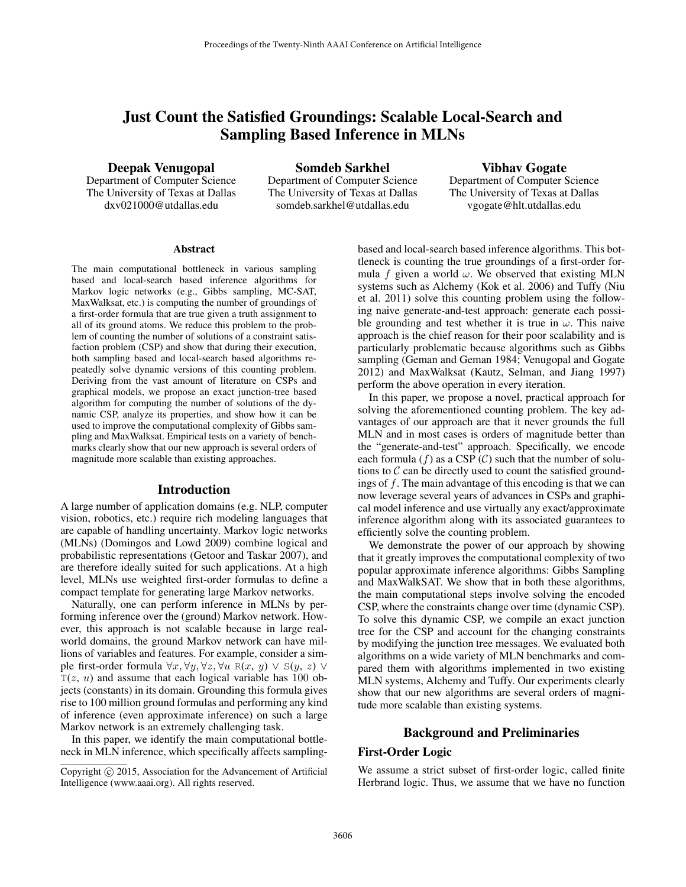# Just Count the Satisfied Groundings: Scalable Local-Search and Sampling Based Inference in MLNs

Deepak Venugopal

Department of Computer Science The University of Texas at Dallas dxv021000@utdallas.edu

Somdeb Sarkhel Department of Computer Science The University of Texas at Dallas somdeb.sarkhel@utdallas.edu

Vibhav Gogate Department of Computer Science The University of Texas at Dallas vgogate@hlt.utdallas.edu

#### **Abstract**

The main computational bottleneck in various sampling based and local-search based inference algorithms for Markov logic networks (e.g., Gibbs sampling, MC-SAT, MaxWalksat, etc.) is computing the number of groundings of a first-order formula that are true given a truth assignment to all of its ground atoms. We reduce this problem to the problem of counting the number of solutions of a constraint satisfaction problem (CSP) and show that during their execution, both sampling based and local-search based algorithms repeatedly solve dynamic versions of this counting problem. Deriving from the vast amount of literature on CSPs and graphical models, we propose an exact junction-tree based algorithm for computing the number of solutions of the dynamic CSP, analyze its properties, and show how it can be used to improve the computational complexity of Gibbs sampling and MaxWalksat. Empirical tests on a variety of benchmarks clearly show that our new approach is several orders of magnitude more scalable than existing approaches.

### Introduction

A large number of application domains (e.g. NLP, computer vision, robotics, etc.) require rich modeling languages that are capable of handling uncertainty. Markov logic networks (MLNs) (Domingos and Lowd 2009) combine logical and probabilistic representations (Getoor and Taskar 2007), and are therefore ideally suited for such applications. At a high level, MLNs use weighted first-order formulas to define a compact template for generating large Markov networks.

Naturally, one can perform inference in MLNs by performing inference over the (ground) Markov network. However, this approach is not scalable because in large realworld domains, the ground Markov network can have millions of variables and features. For example, consider a simple first-order formula  $\forall x, \forall y, \forall z, \forall u \ R(x, y) \lor S(y, z) \lor \exists y$  $T(z, u)$  and assume that each logical variable has 100 objects (constants) in its domain. Grounding this formula gives rise to 100 million ground formulas and performing any kind of inference (even approximate inference) on such a large Markov network is an extremely challenging task.

In this paper, we identify the main computational bottleneck in MLN inference, which specifically affects samplingbased and local-search based inference algorithms. This bottleneck is counting the true groundings of a first-order formula f given a world  $\omega$ . We observed that existing MLN systems such as Alchemy (Kok et al. 2006) and Tuffy (Niu et al. 2011) solve this counting problem using the following naive generate-and-test approach: generate each possible grounding and test whether it is true in  $\omega$ . This naive approach is the chief reason for their poor scalability and is particularly problematic because algorithms such as Gibbs sampling (Geman and Geman 1984; Venugopal and Gogate 2012) and MaxWalksat (Kautz, Selman, and Jiang 1997) perform the above operation in every iteration.

In this paper, we propose a novel, practical approach for solving the aforementioned counting problem. The key advantages of our approach are that it never grounds the full MLN and in most cases is orders of magnitude better than the "generate-and-test" approach. Specifically, we encode each formula (f) as a CSP (C) such that the number of solutions to  $C$  can be directly used to count the satisfied groundings of f. The main advantage of this encoding is that we can now leverage several years of advances in CSPs and graphical model inference and use virtually any exact/approximate inference algorithm along with its associated guarantees to efficiently solve the counting problem.

We demonstrate the power of our approach by showing that it greatly improves the computational complexity of two popular approximate inference algorithms: Gibbs Sampling and MaxWalkSAT. We show that in both these algorithms, the main computational steps involve solving the encoded CSP, where the constraints change over time (dynamic CSP). To solve this dynamic CSP, we compile an exact junction tree for the CSP and account for the changing constraints by modifying the junction tree messages. We evaluated both algorithms on a wide variety of MLN benchmarks and compared them with algorithms implemented in two existing MLN systems, Alchemy and Tuffy. Our experiments clearly show that our new algorithms are several orders of magnitude more scalable than existing systems.

# Background and Preliminaries

### First-Order Logic

We assume a strict subset of first-order logic, called finite Herbrand logic. Thus, we assume that we have no function

Copyright © 2015, Association for the Advancement of Artificial Intelligence (www.aaai.org). All rights reserved.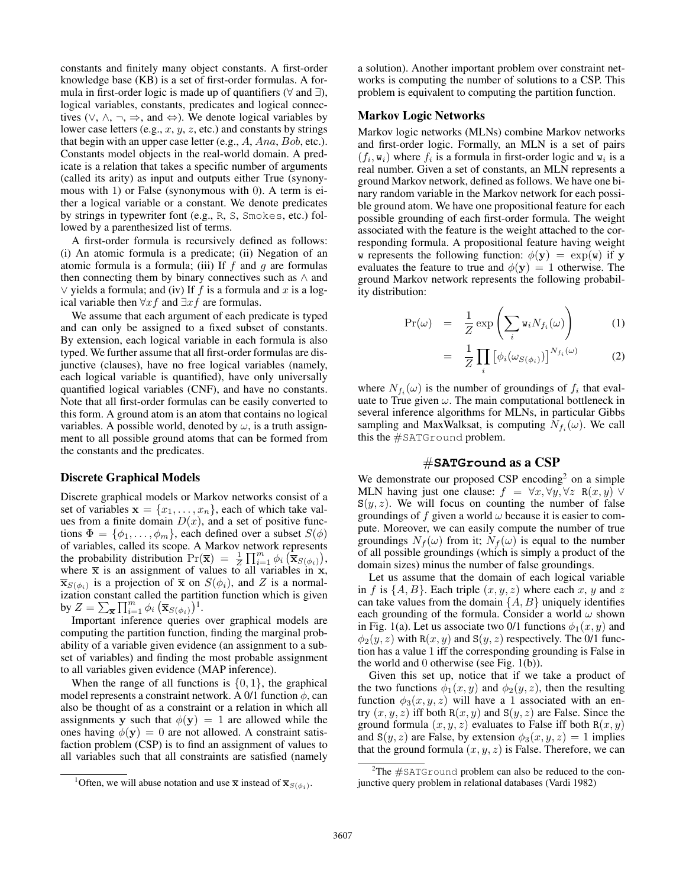constants and finitely many object constants. A first-order knowledge base (KB) is a set of first-order formulas. A formula in first-order logic is made up of quantifiers ( $\forall$  and  $\exists$ ), logical variables, constants, predicates and logical connectives ( $\vee$ ,  $\wedge$ ,  $\neg$ ,  $\Rightarrow$ , and  $\Leftrightarrow$ ). We denote logical variables by lower case letters (e.g.,  $x, y, z$ , etc.) and constants by strings that begin with an upper case letter (e.g., A, Ana, Bob, etc.). Constants model objects in the real-world domain. A predicate is a relation that takes a specific number of arguments (called its arity) as input and outputs either True (synonymous with 1) or False (synonymous with 0). A term is either a logical variable or a constant. We denote predicates by strings in typewriter font (e.g., R, S, Smokes, etc.) followed by a parenthesized list of terms.

A first-order formula is recursively defined as follows: (i) An atomic formula is a predicate; (ii) Negation of an atomic formula is a formula; (iii) If  $f$  and  $g$  are formulas then connecting them by binary connectives such as  $\land$  and ∨ yields a formula; and (iv) If  $f$  is a formula and  $x$  is a logical variable then  $\forall x f$  and  $\exists x f$  are formulas.

We assume that each argument of each predicate is typed and can only be assigned to a fixed subset of constants. By extension, each logical variable in each formula is also typed. We further assume that all first-order formulas are disjunctive (clauses), have no free logical variables (namely, each logical variable is quantified), have only universally quantified logical variables (CNF), and have no constants. Note that all first-order formulas can be easily converted to this form. A ground atom is an atom that contains no logical variables. A possible world, denoted by  $\omega$ , is a truth assignment to all possible ground atoms that can be formed from the constants and the predicates.

## Discrete Graphical Models

Discrete graphical models or Markov networks consist of a set of variables  $\mathbf{x} = \{x_1, \ldots, x_n\}$ , each of which take values from a finite domain  $D(x)$ , and a set of positive functions  $\Phi = {\phi_1, \ldots, \phi_m}$ , each defined over a subset  $S(\phi)$ of variables, called its scope. A Markov network represents the probability distribution  $\Pr(\overline{\mathbf{x}}) = \frac{1}{Z} \prod_{i=1}^{m} \phi_i \left( \overline{\mathbf{x}}_{S(\phi_i)} \right),$ where  $\bar{x}$  is an assignment of values to all variables in x,  $\overline{\mathbf{x}}_{S(\phi_i)}$  is a projection of  $\overline{\mathbf{x}}$  on  $S(\phi_i)$ , and Z is a normalization constant called the partition function which is given by  $Z = \sum_{\overline{\mathbf{x}}} \prod_{i=1}^m \phi_i \left( \overline{\mathbf{x}}_{S(\phi_i)} \right)^1$ .

Important inference queries over graphical models are computing the partition function, finding the marginal probability of a variable given evidence (an assignment to a subset of variables) and finding the most probable assignment to all variables given evidence (MAP inference).

When the range of all functions is  $\{0, 1\}$ , the graphical model represents a constraint network. A 0/1 function  $\phi$ , can also be thought of as a constraint or a relation in which all assignments y such that  $\phi(y) = 1$  are allowed while the ones having  $\phi(\mathbf{y}) = 0$  are not allowed. A constraint satisfaction problem (CSP) is to find an assignment of values to all variables such that all constraints are satisfied (namely

a solution). Another important problem over constraint networks is computing the number of solutions to a CSP. This problem is equivalent to computing the partition function.

## Markov Logic Networks

Markov logic networks (MLNs) combine Markov networks and first-order logic. Formally, an MLN is a set of pairs  $(f_i, w_i)$  where  $f_i$  is a formula in first-order logic and  $w_i$  is a real number. Given a set of constants, an MLN represents a ground Markov network, defined as follows. We have one binary random variable in the Markov network for each possible ground atom. We have one propositional feature for each possible grounding of each first-order formula. The weight associated with the feature is the weight attached to the corresponding formula. A propositional feature having weight w represents the following function:  $\phi(y) = \exp(w)$  if y evaluates the feature to true and  $\phi(\mathbf{y}) = 1$  otherwise. The ground Markov network represents the following probability distribution:

$$
\Pr(\omega) = \frac{1}{Z} \exp\left(\sum_{i} w_i N_{f_i}(\omega)\right) \tag{1}
$$

$$
= \frac{1}{Z} \prod_{i} \left[ \phi_i(\omega_{S(\phi_i)}) \right]^{N_{f_i}(\omega)} \tag{2}
$$

where  $N_{f_i}(\omega)$  is the number of groundings of  $f_i$  that evaluate to True given  $\omega$ . The main computational bottleneck in several inference algorithms for MLNs, in particular Gibbs sampling and MaxWalksat, is computing  $N_{f_i}(\omega)$ . We call this the #SATGround problem.

# #**SATGround** as a CSP

We demonstrate our proposed CSP encoding<sup>2</sup> on a simple MLN having just one clause:  $f = \forall x, \forall y, \forall z \mathbb{R}(x, y)$  $S(y, z)$ . We will focus on counting the number of false groundings of f given a world  $\omega$  because it is easier to compute. Moreover, we can easily compute the number of true groundings  $N_f(\omega)$  from it;  $N_f(\omega)$  is equal to the number of all possible groundings (which is simply a product of the domain sizes) minus the number of false groundings.

Let us assume that the domain of each logical variable in f is  $\{A, B\}$ . Each triple  $(x, y, z)$  where each x, y and z can take values from the domain  $\{A, B\}$  uniquely identifies each grounding of the formula. Consider a world  $\omega$  shown in Fig. 1(a). Let us associate two 0/1 functions  $\phi_1(x, y)$  and  $\phi_2(y, z)$  with R $(x, y)$  and S $(y, z)$  respectively. The 0/1 function has a value 1 iff the corresponding grounding is False in the world and 0 otherwise (see Fig. 1(b)).

Given this set up, notice that if we take a product of the two functions  $\phi_1(x, y)$  and  $\phi_2(y, z)$ , then the resulting function  $\phi_3(x, y, z)$  will have a 1 associated with an entry  $(x, y, z)$  iff both  $R(x, y)$  and  $S(y, z)$  are False. Since the ground formula  $(x, y, z)$  evaluates to False iff both  $R(x, y)$ and  $S(y, z)$  are False, by extension  $\phi_3(x, y, z) = 1$  implies that the ground formula  $(x, y, z)$  is False. Therefore, we can

<sup>&</sup>lt;sup>1</sup>Often, we will abuse notation and use  $\bar{x}$  instead of  $\bar{x}_{S(\phi_i)}$ .

 $2$ The  $#$ SATGround problem can also be reduced to the conjunctive query problem in relational databases (Vardi 1982)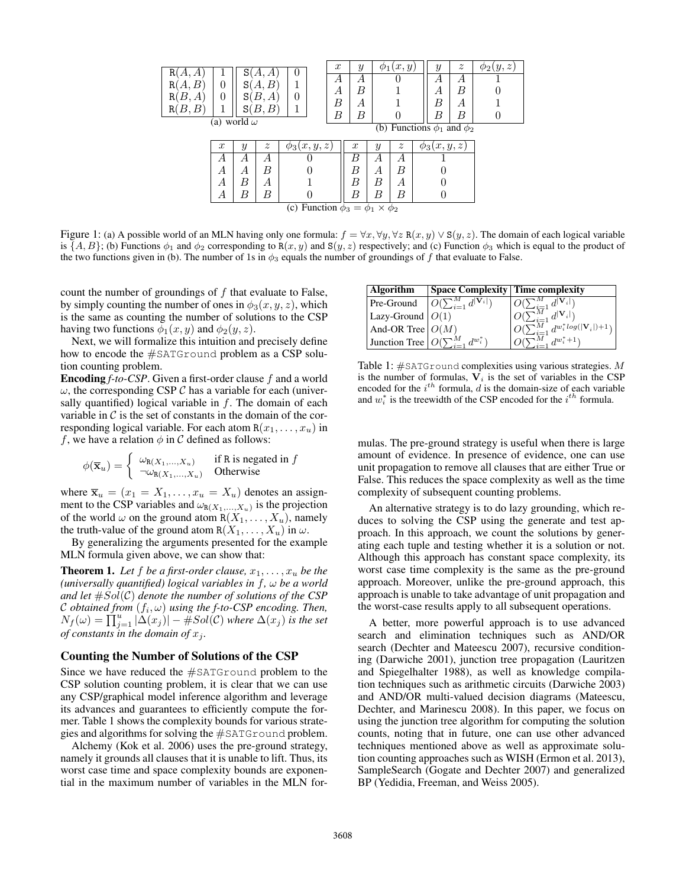| R(<br>А,<br>А<br>R١<br>В<br>R(<br>В<br>А<br>B, B<br>R( | 0<br>0           | S<br>S<br>S<br>S١<br>(a) world $\omega$ | А<br>В<br>В<br>А<br>В.<br>В | $\theta$<br>0   | $\boldsymbol{x}$<br>А<br>А<br>В<br>B | $\mathcal{Y}$<br>А<br>B<br>А<br>B |                  | $\phi_1(x,y)$<br>(b) Functions $\phi_1$ and $\phi_2$ | Y<br>А<br>А<br>B<br>B | $\boldsymbol{z}$<br>А<br>В<br>А<br>В | $\varphi_2(y,z)$ |
|--------------------------------------------------------|------------------|-----------------------------------------|-----------------------------|-----------------|--------------------------------------|-----------------------------------|------------------|------------------------------------------------------|-----------------------|--------------------------------------|------------------|
|                                                        | $\boldsymbol{x}$ | Y                                       | $\tilde{z}$                 | $\phi_3(x,y,z)$ |                                      | $\boldsymbol{x}$                  | $\boldsymbol{y}$ | $\tilde{z}$                                          | $\phi_3(x,y,z)$       |                                      |                  |
|                                                        | А                | А                                       | А                           | U               |                                      | B                                 | А                | А                                                    |                       |                                      |                  |
|                                                        | А                | А                                       | B                           |                 |                                      | B                                 | А                | B                                                    |                       |                                      |                  |
|                                                        | А                | В                                       | А                           |                 |                                      | B                                 | В                | А                                                    |                       |                                      |                  |
|                                                        | А                | В                                       | В                           |                 |                                      | В                                 | В                | B                                                    |                       |                                      |                  |
| (c) Function $\phi_3 = \phi_1 \times \phi_2$           |                  |                                         |                             |                 |                                      |                                   |                  |                                                      |                       |                                      |                  |

Figure 1: (a) A possible world of an MLN having only one formula:  $f = \forall x, \forall y, \forall z \mathbb{R}(x, y) \vee \mathbb{S}(y, z)$ . The domain of each logical variable is  $\{A, B\}$ ; (b) Functions  $\phi_1$  and  $\phi_2$  corresponding to R(x, y) and S(y, z) respectively; and (c) Function  $\phi_3$  which is equal to the product of the two functions given in (b). The number of 1s in  $\phi_3$  equals the number of groundings of f that evaluate to False.

count the number of groundings of  $f$  that evaluate to False, by simply counting the number of ones in  $\phi_3(x, y, z)$ , which is the same as counting the number of solutions to the CSP having two functions  $\phi_1(x, y)$  and  $\phi_2(y, z)$ .

Next, we will formalize this intuition and precisely define how to encode the #SATGround problem as a CSP solution counting problem.

Encoding *f-to-CSP*. Given a first-order clause f and a world  $\omega$ , the corresponding CSP  $\mathcal C$  has a variable for each (universally quantified) logical variable in  $f$ . The domain of each variable in  $\mathcal C$  is the set of constants in the domain of the corresponding logical variable. For each atom  $R(x_1, \ldots, x_u)$  in f, we have a relation  $\phi$  in C defined as follows:

$$
\phi(\overline{\mathbf{x}}_u) = \begin{cases} \omega_{\mathsf{R}(X_1,\ldots,X_u)} & \text{if R is negated in } f \\ \neg \omega_{\mathsf{R}(X_1,\ldots,X_u)} & \text{Otherwise} \end{cases}
$$

where  $\overline{\mathbf{x}}_u = (x_1 = X_1, \dots, x_u = X_u)$  denotes an assignment to the CSP variables and  $\omega_{R(X_1,...,X_u)}$  is the projection of the world  $\omega$  on the ground atom  $R(X_1, \ldots, X_u)$ , namely the truth-value of the ground atom  $R(X_1, \ldots, X_n)$  in  $\omega$ .

By generalizing the arguments presented for the example MLN formula given above, we can show that:

**Theorem 1.** Let f be a first-order clause,  $x_1, \ldots, x_u$  be the *(universally quantified) logical variables in* f*,* ω *be a world and let*  $#Sol(\mathcal{C})$  *denote the number of solutions of the CSP* C obtained from  $(f_i, \omega)$  using the f-to-CSP encoding. Then,  $N_f(\omega) = \prod_{j=1}^u |\Delta(x_j)| - \#Sol(\mathcal{C})$  where  $\Delta(x_j)$  is the set *of constants in the domain of*  $x_j$ *.* 

## Counting the Number of Solutions of the CSP

Since we have reduced the #SATGround problem to the CSP solution counting problem, it is clear that we can use any CSP/graphical model inference algorithm and leverage its advances and guarantees to efficiently compute the former. Table 1 shows the complexity bounds for various strategies and algorithms for solving the #SATGround problem.

Alchemy (Kok et al. 2006) uses the pre-ground strategy, namely it grounds all clauses that it is unable to lift. Thus, its worst case time and space complexity bounds are exponential in the maximum number of variables in the MLN for-

| <b>Algorithm</b>                 | <b>Space Complexity Time complexity</b> |                                                       |
|----------------------------------|-----------------------------------------|-------------------------------------------------------|
| Pre-Ground                       |                                         | $d^{\mathbf{ V_i }}$                                  |
| $\vert$ Lazy-Ground $\vert O(1)$ |                                         | $d^{\mid V_i \mid}$                                   |
| And-OR Tree $\big O(M)$          |                                         | $O(\sum_{i=1}^{i-1} d^{w_i^*} log( \mathbf{V}_i )+1)$ |
| Junction Tree                    | $d^{w_i^*}$                             | $d^{w_i^*+1}$                                         |

Table 1:  $\#$ SATGround complexities using various strategies. M is the number of formulas,  $V_i$  is the set of variables in the CSP encoded for the  $i^{th}$  formula, d is the domain-size of each variable and  $w_i^*$  is the treewidth of the CSP encoded for the  $i^{th}$  formula.

mulas. The pre-ground strategy is useful when there is large amount of evidence. In presence of evidence, one can use unit propagation to remove all clauses that are either True or False. This reduces the space complexity as well as the time complexity of subsequent counting problems.

An alternative strategy is to do lazy grounding, which reduces to solving the CSP using the generate and test approach. In this approach, we count the solutions by generating each tuple and testing whether it is a solution or not. Although this approach has constant space complexity, its worst case time complexity is the same as the pre-ground approach. Moreover, unlike the pre-ground approach, this approach is unable to take advantage of unit propagation and the worst-case results apply to all subsequent operations.

A better, more powerful approach is to use advanced search and elimination techniques such as AND/OR search (Dechter and Mateescu 2007), recursive conditioning (Darwiche 2001), junction tree propagation (Lauritzen and Spiegelhalter 1988), as well as knowledge compilation techniques such as arithmetic circuits (Darwiche 2003) and AND/OR multi-valued decision diagrams (Mateescu, Dechter, and Marinescu 2008). In this paper, we focus on using the junction tree algorithm for computing the solution counts, noting that in future, one can use other advanced techniques mentioned above as well as approximate solution counting approaches such as WISH (Ermon et al. 2013), SampleSearch (Gogate and Dechter 2007) and generalized BP (Yedidia, Freeman, and Weiss 2005).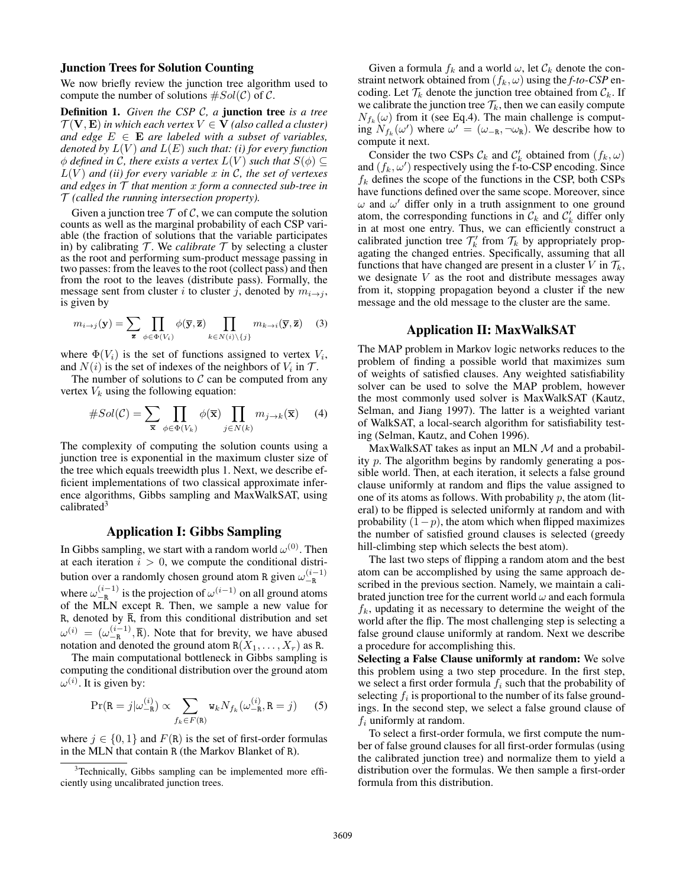## Junction Trees for Solution Counting

We now briefly review the junction tree algorithm used to compute the number of solutions  $\#Sol(\mathcal{C})$  of  $\mathcal{C}$ .

Definition 1. *Given the CSP* C*, a* junction tree *is a tree*  $\mathcal{T}(\mathbf{V}, \mathbf{E})$  *in which each vertex*  $V \in \mathbf{V}$  *(also called a cluster) and edge*  $E \in \mathbf{E}$  *are labeled with a subset of variables, denoted by*  $L(V)$  *and*  $L(E)$  *such that: (i) for every function*  $\phi$  *defined in C, there exists a vertex*  $L(V)$  *such that*  $S(\phi) \subseteq$  $L(V)$  *and (ii) for every variable* x *in* C, the set of vertexes *and edges in* T *that mention* x *form a connected sub-tree in* T *(called the running intersection property).*

Given a junction tree  $\mathcal T$  of  $\mathcal C$ , we can compute the solution counts as well as the marginal probability of each CSP variable (the fraction of solutions that the variable participates in) by calibrating  $T$ . We *calibrate*  $T$  by selecting a cluster as the root and performing sum-product message passing in two passes: from the leaves to the root (collect pass) and then from the root to the leaves (distribute pass). Formally, the message sent from cluster i to cluster j, denoted by  $m_{i\rightarrow j}$ , is given by

$$
m_{i \to j}(\mathbf{y}) = \sum_{\overline{\mathbf{z}}} \prod_{\phi \in \Phi(V_i)} \phi(\overline{\mathbf{y}}, \overline{\mathbf{z}}) \prod_{k \in N(i) \setminus \{j\}} m_{k \to i}(\overline{\mathbf{y}}, \overline{\mathbf{z}}) \quad (3)
$$

where  $\Phi(V_i)$  is the set of functions assigned to vertex  $V_i$ , and  $N(i)$  is the set of indexes of the neighbors of  $V_i$  in  $\mathcal{T}$ .

The number of solutions to  $C$  can be computed from any vertex  $V_k$  using the following equation:

$$
#Sol(\mathcal{C}) = \sum_{\overline{\mathbf{x}}} \prod_{\phi \in \Phi(V_k)} \phi(\overline{\mathbf{x}}) \prod_{j \in N(k)} m_{j \to k}(\overline{\mathbf{x}}) \tag{4}
$$

The complexity of computing the solution counts using a junction tree is exponential in the maximum cluster size of the tree which equals treewidth plus 1. Next, we describe efficient implementations of two classical approximate inference algorithms, Gibbs sampling and MaxWalkSAT, using calibrated $3$ 

# Application I: Gibbs Sampling

In Gibbs sampling, we start with a random world  $\omega^{(0)}$ . Then at each iteration  $i > 0$ , we compute the conditional distribution over a randomly chosen ground atom R given  $\omega_{-R}^{(i-1)}$ where  $\omega_{-R}^{(i-1)}$  is the projection of  $\omega^{(i-1)}$  on all ground atoms of the MLN except R. Then, we sample a new value for R, denoted by  $\overline{R}$ , from this conditional distribution and set  $\omega^{(i)} = (\omega_{-R}^{(i-1)}, \overline{R})$ . Note that for brevity, we have abused notation and denoted the ground atom  $R(X_1, \ldots, X_r)$  as R.

The main computational bottleneck in Gibbs sampling is computing the conditional distribution over the ground atom  $\omega^{(i)}$ . It is given by:

$$
\Pr(\mathbf{R}=j|\omega_{-\mathbf{R}}^{(i)}) \propto \sum_{f_k \in F(\mathbf{R})} \mathbf{w}_k N_{f_k}(\omega_{-\mathbf{R}}^{(i)}, \mathbf{R}=j)
$$
 (5)

where  $j \in \{0, 1\}$  and  $F(\mathbb{R})$  is the set of first-order formulas in the MLN that contain R (the Markov Blanket of R).

Given a formula  $f_k$  and a world  $\omega$ , let  $\mathcal{C}_k$  denote the constraint network obtained from  $(f_k, \omega)$  using the *f-to-CSP* encoding. Let  $\mathcal{T}_k$  denote the junction tree obtained from  $\mathcal{C}_k$ . If we calibrate the junction tree  $\mathcal{T}_k$ , then we can easily compute  $N_{f_k}(\omega)$  from it (see Eq.4). The main challenge is computing  $N_{f_k}(\omega')$  where  $\omega' = (\omega_{-R}, \neg \omega_R)$ . We describe how to compute it next.

Consider the two CSPs  $\mathcal{C}_k$  and  $\mathcal{C}'_k$  obtained from  $(f_k, \omega)$ and  $(f_k, \omega')$  respectively using the f-to-CSP encoding. Since  $f_k$  defines the scope of the functions in the CSP, both CSPs have functions defined over the same scope. Moreover, since  $\omega$  and  $\omega'$  differ only in a truth assignment to one ground atom, the corresponding functions in  $\mathcal{C}_k$  and  $\mathcal{C}'_k$  differ only in at most one entry. Thus, we can efficiently construct a calibrated junction tree  $\mathcal{T}'_k$  from  $\mathcal{T}_k$  by appropriately propagating the changed entries. Specifically, assuming that all functions that have changed are present in a cluster V in  $\mathcal{T}_k$ , we designate  $V$  as the root and distribute messages away from it, stopping propagation beyond a cluster if the new message and the old message to the cluster are the same.

## Application II: MaxWalkSAT

The MAP problem in Markov logic networks reduces to the problem of finding a possible world that maximizes sum of weights of satisfied clauses. Any weighted satisfiability solver can be used to solve the MAP problem, however the most commonly used solver is MaxWalkSAT (Kautz, Selman, and Jiang 1997). The latter is a weighted variant of WalkSAT, a local-search algorithm for satisfiability testing (Selman, Kautz, and Cohen 1996).

MaxWalkSAT takes as input an MLN  $M$  and a probability p. The algorithm begins by randomly generating a possible world. Then, at each iteration, it selects a false ground clause uniformly at random and flips the value assigned to one of its atoms as follows. With probability  $p$ , the atom (literal) to be flipped is selected uniformly at random and with probability  $(1-p)$ , the atom which when flipped maximizes the number of satisfied ground clauses is selected (greedy hill-climbing step which selects the best atom).

The last two steps of flipping a random atom and the best atom can be accomplished by using the same approach described in the previous section. Namely, we maintain a calibrated junction tree for the current world  $\omega$  and each formula  $f_k$ , updating it as necessary to determine the weight of the world after the flip. The most challenging step is selecting a false ground clause uniformly at random. Next we describe a procedure for accomplishing this.

Selecting a False Clause uniformly at random: We solve this problem using a two step procedure. In the first step, we select a first order formula  $f_i$  such that the probability of selecting  $f_i$  is proportional to the number of its false groundings. In the second step, we select a false ground clause of  $f_i$  uniformly at random.

To select a first-order formula, we first compute the number of false ground clauses for all first-order formulas (using the calibrated junction tree) and normalize them to yield a distribution over the formulas. We then sample a first-order formula from this distribution.

<sup>&</sup>lt;sup>3</sup>Technically, Gibbs sampling can be implemented more efficiently using uncalibrated junction trees.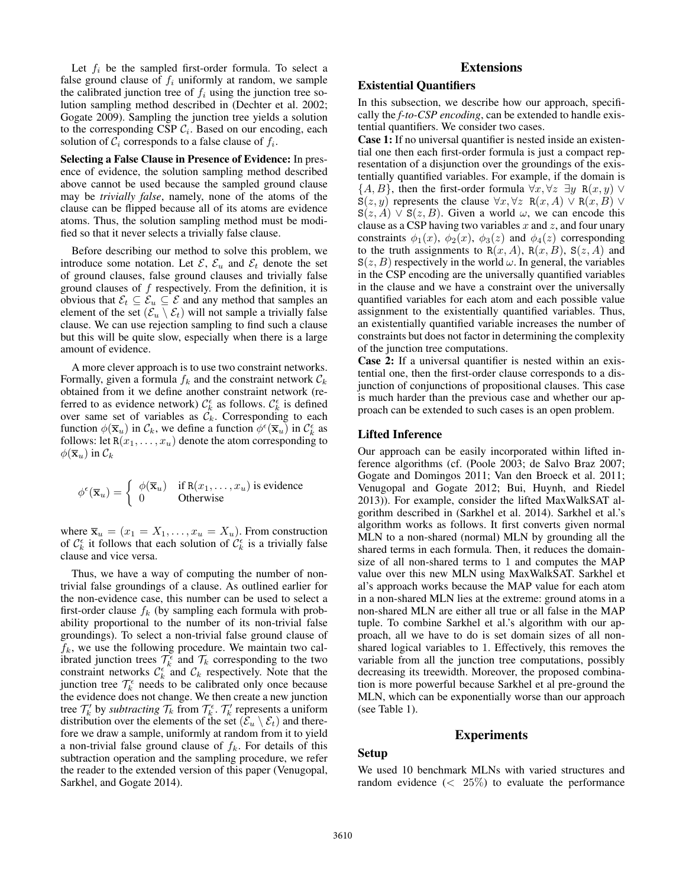Let  $f_i$  be the sampled first-order formula. To select a false ground clause of  $f_i$  uniformly at random, we sample the calibrated junction tree of  $f_i$  using the junction tree solution sampling method described in (Dechter et al. 2002; Gogate 2009). Sampling the junction tree yields a solution to the corresponding CSP  $C_i$ . Based on our encoding, each solution of  $C_i$  corresponds to a false clause of  $f_i$ .

Selecting a False Clause in Presence of Evidence: In presence of evidence, the solution sampling method described above cannot be used because the sampled ground clause may be *trivially false*, namely, none of the atoms of the clause can be flipped because all of its atoms are evidence atoms. Thus, the solution sampling method must be modified so that it never selects a trivially false clause.

Before describing our method to solve this problem, we introduce some notation. Let  $\mathcal{E}, \mathcal{E}_u$  and  $\mathcal{E}_t$  denote the set of ground clauses, false ground clauses and trivially false ground clauses of  $f$  respectively. From the definition, it is obvious that  $\mathcal{E}_t \subseteq \mathcal{E}_u \subseteq \mathcal{E}$  and any method that samples an element of the set  $(\mathcal{E}_u \setminus \mathcal{E}_t)$  will not sample a trivially false clause. We can use rejection sampling to find such a clause but this will be quite slow, especially when there is a large amount of evidence.

A more clever approach is to use two constraint networks. Formally, given a formula  $f_k$  and the constraint network  $\mathcal{C}_k$ obtained from it we define another constraint network (referred to as evidence network)  $C_k^{\epsilon}$  as follows.  $C_k^{\epsilon}$  is defined over same set of variables as  $\mathcal{C}_k$ . Corresponding to each function  $\phi(\overline{\mathbf{x}}_u)$  in  $\mathcal{C}_k$ , we define a function  $\phi^{\epsilon}(\overline{\mathbf{x}}_u)$  in  $\mathcal{C}_k^{\epsilon}$  as follows: let  $R(x_1, \ldots, x_u)$  denote the atom corresponding to  $\phi(\overline{\mathbf{x}}_u)$  in  $\mathcal{C}_k$ 

$$
\phi^{\epsilon}(\overline{\mathbf{x}}_u) = \begin{cases} \phi(\overline{\mathbf{x}}_u) & \text{if } \mathsf{R}(x_1, \dots, x_u) \text{ is evidence} \\ 0 & \text{Otherwise} \end{cases}
$$

where  $\overline{\mathbf{x}}_u = (x_1 = X_1, \dots, x_u = X_u)$ . From construction of  $\mathcal{C}_k^{\epsilon}$  it follows that each solution of  $\mathcal{C}_k^{\epsilon}$  is a trivially false clause and vice versa.

Thus, we have a way of computing the number of nontrivial false groundings of a clause. As outlined earlier for the non-evidence case, this number can be used to select a first-order clause  $f_k$  (by sampling each formula with probability proportional to the number of its non-trivial false groundings). To select a non-trivial false ground clause of  $f_k$ , we use the following procedure. We maintain two calibrated junction trees  $\mathcal{T}_k^{\epsilon}$  and  $\mathcal{T}_k$  corresponding to the two constraint networks  $\mathcal{C}_k^{\epsilon}$  and  $\mathcal{C}_k$  respectively. Note that the junction tree  $\mathcal{T}_k^{\epsilon}$  needs to be calibrated only once because the evidence does not change. We then create a new junction tree  $\mathcal{T}'_k$  by *subtracting*  $\mathcal{T}_k$  from  $\mathcal{T}_k^{\epsilon}$ .  $\mathcal{T}'_k$  represents a uniform distribution over the elements of the set  $(\mathcal{E}_u \setminus \mathcal{E}_t)$  and therefore we draw a sample, uniformly at random from it to yield a non-trivial false ground clause of  $f_k$ . For details of this subtraction operation and the sampling procedure, we refer the reader to the extended version of this paper (Venugopal, Sarkhel, and Gogate 2014).

# Extensions

# Existential Quantifiers

In this subsection, we describe how our approach, specifically the *f-to-CSP encoding*, can be extended to handle existential quantifiers. We consider two cases.

Case 1: If no universal quantifier is nested inside an existential one then each first-order formula is just a compact representation of a disjunction over the groundings of the existentially quantified variables. For example, if the domain is  $\{A, B\}$ , then the first-order formula  $\forall x, \forall z \exists y \ R(x, y) \ \forall z$  $S(z, y)$  represents the clause  $\forall x, \forall z \ R(x, A) \lor R(x, B) \lor$  $S(z, A) \vee S(z, B)$ . Given a world  $\omega$ , we can encode this clause as a CSP having two variables  $x$  and  $z$ , and four unary constraints  $\phi_1(x)$ ,  $\phi_2(x)$ ,  $\phi_3(z)$  and  $\phi_4(z)$  corresponding to the truth assignments to  $R(x, A)$ ,  $R(x, B)$ ,  $S(z, A)$  and  $S(z, B)$  respectively in the world  $\omega$ . In general, the variables in the CSP encoding are the universally quantified variables in the clause and we have a constraint over the universally quantified variables for each atom and each possible value assignment to the existentially quantified variables. Thus, an existentially quantified variable increases the number of constraints but does not factor in determining the complexity of the junction tree computations.

Case 2: If a universal quantifier is nested within an existential one, then the first-order clause corresponds to a disjunction of conjunctions of propositional clauses. This case is much harder than the previous case and whether our approach can be extended to such cases is an open problem.

## Lifted Inference

Our approach can be easily incorporated within lifted inference algorithms (cf. (Poole 2003; de Salvo Braz 2007; Gogate and Domingos 2011; Van den Broeck et al. 2011; Venugopal and Gogate 2012; Bui, Huynh, and Riedel 2013)). For example, consider the lifted MaxWalkSAT algorithm described in (Sarkhel et al. 2014). Sarkhel et al.'s algorithm works as follows. It first converts given normal MLN to a non-shared (normal) MLN by grounding all the shared terms in each formula. Then, it reduces the domainsize of all non-shared terms to 1 and computes the MAP value over this new MLN using MaxWalkSAT. Sarkhel et al's approach works because the MAP value for each atom in a non-shared MLN lies at the extreme: ground atoms in a non-shared MLN are either all true or all false in the MAP tuple. To combine Sarkhel et al.'s algorithm with our approach, all we have to do is set domain sizes of all nonshared logical variables to 1. Effectively, this removes the variable from all the junction tree computations, possibly decreasing its treewidth. Moreover, the proposed combination is more powerful because Sarkhel et al pre-ground the MLN, which can be exponentially worse than our approach (see Table 1).

## Experiments

# Setup

We used 10 benchmark MLNs with varied structures and random evidence  $\left( \langle 25\% \rangle \right)$  to evaluate the performance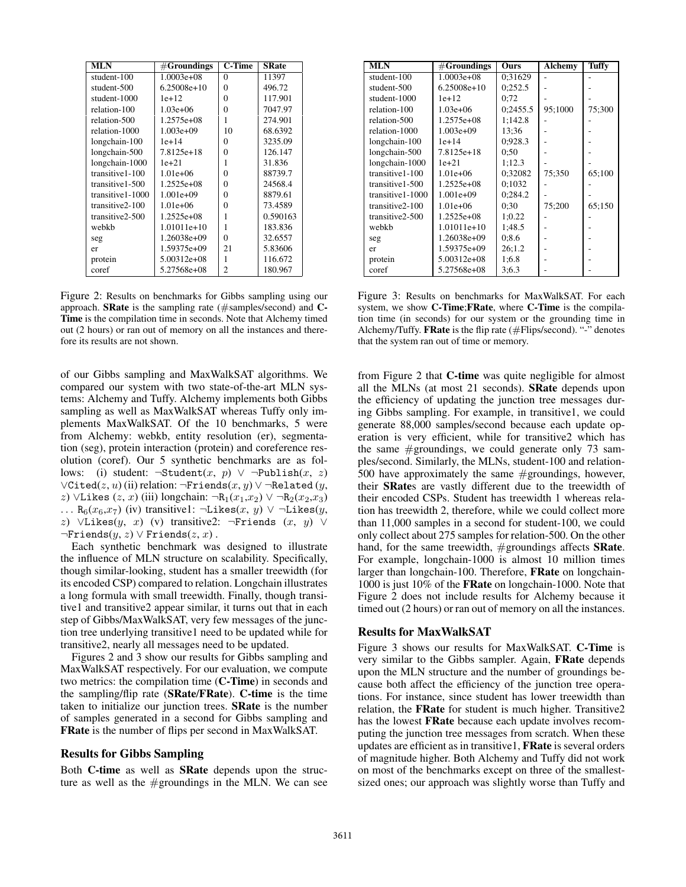| <b>MLN</b>        | $#$ Groundings | <b>C-Time</b>  | <b>SRate</b> |  |
|-------------------|----------------|----------------|--------------|--|
| student-100       | $1.0003e + 08$ | $\theta$       | 11397        |  |
| student-500       | $6.25008e+10$  | 0              | 496.72       |  |
| student-1000      | $1e+12$        | 0              | 117.901      |  |
| relation-100      | $1.03e+06$     | 0              | 7047.97      |  |
| relation-500      | 1.2575e+08     | 1              | 274.901      |  |
| relation-1000     | $1.003e+09$    | 10             | 68.6392      |  |
| longchain-100     | $1e+14$        | 0              | 3235.09      |  |
| longchain-500     | 7.8125e+18     | 0              | 126.147      |  |
| longchain-1000    | $1e + 21$      | 1              | 31.836       |  |
| transitive 1-100  | $1.01e+06$     | 0              | 88739.7      |  |
| transitive 1-500  | $1.2525e+08$   | 0              | 24568.4      |  |
| transitive 1-1000 | $1.001e+09$    | $\theta$       | 8879.61      |  |
| transitive2-100   | $1.01e+06$     | $\Omega$       | 73.4589      |  |
| transitive2-500   | $1.2525e+08$   | 1              | 0.590163     |  |
| webkb             | $1.01011e+10$  | 1              | 183.836      |  |
| seg               | 1.26038e+09    | 0              | 32.6557      |  |
| er                | 1.59375e+09    | 21             | 5.83606      |  |
| protein           | $5.00312e+08$  | 1              | 116.672      |  |
| coref             | 5.27568e+08    | $\overline{c}$ | 180.967      |  |

Figure 2: Results on benchmarks for Gibbs sampling using our approach. SRate is the sampling rate (#samples/second) and C-Time is the compilation time in seconds. Note that Alchemy timed out (2 hours) or ran out of memory on all the instances and therefore its results are not shown.

of our Gibbs sampling and MaxWalkSAT algorithms. We compared our system with two state-of-the-art MLN systems: Alchemy and Tuffy. Alchemy implements both Gibbs sampling as well as MaxWalkSAT whereas Tuffy only implements MaxWalkSAT. Of the 10 benchmarks, 5 were from Alchemy: webkb, entity resolution (er), segmentation (seg), protein interaction (protein) and coreference resolution (coref). Our 5 synthetic benchmarks are as follows: (i) student:  $\neg$ Student(x, p)  $\lor$   $\neg$ Publish(x, z)  $\forall$ Cited(z, u) (ii) relation:  $\neg$ Friends(x, y)  $\lor$   $\neg$ Related (y, z) ∨Likes (z, x) (iii) longchain: ¬R<sub>1</sub>(x<sub>1</sub>,x<sub>2</sub>) ∨ ¬R<sub>2</sub>(x<sub>2</sub>,x<sub>3</sub>) ... R<sub>6</sub>( $x_6, x_7$ ) (iv) transitive1: ¬Likes( $x, y$ ) ∨ ¬Likes( $y$ , z) ∨Likes $(y, x)$  (v) transitive2: ¬Friends  $(x, y)$  ∨  $\neg$ Friends $(y, z) \lor$ Friends $(z, x)$ .

Each synthetic benchmark was designed to illustrate the influence of MLN structure on scalability. Specifically, though similar-looking, student has a smaller treewidth (for its encoded CSP) compared to relation. Longchain illustrates a long formula with small treewidth. Finally, though transitive1 and transitive2 appear similar, it turns out that in each step of Gibbs/MaxWalkSAT, very few messages of the junction tree underlying transitive1 need to be updated while for transitive2, nearly all messages need to be updated.

Figures 2 and 3 show our results for Gibbs sampling and MaxWalkSAT respectively. For our evaluation, we compute two metrics: the compilation time (C-Time) in seconds and the sampling/flip rate (SRate/FRate). C-time is the time taken to initialize our junction trees. SRate is the number of samples generated in a second for Gibbs sampling and FRate is the number of flips per second in MaxWalkSAT.

### Results for Gibbs Sampling

Both C-time as well as SRate depends upon the structure as well as the #groundings in the MLN. We can see

| <b>MLN</b>        | $#$ Groundings | Ours     | <b>Alchemy</b> | Tuffy  |
|-------------------|----------------|----------|----------------|--------|
| student-100       | $1.0003e+08$   | 0:31629  |                |        |
| student-500       | $6.25008e+10$  | 0:252.5  |                |        |
| student-1000      | $1e+12$        | 0:72     |                |        |
| relation-100      | $1.03e+06$     | 0:2455.5 | 95;1000        | 75:300 |
| relation-500      | $1.2575e+08$   | 1:142.8  |                |        |
| relation-1000     | $1.003e+09$    | 13:36    |                |        |
| longchain-100     | $1e+14$        | 0:928.3  |                |        |
| longchain-500     | 7.8125e+18     | 0:50     |                |        |
| longchain-1000    | $1e + 21$      | 1:12.3   |                |        |
| transitive 1-100  | $1.01e + 06$   | 0:32082  | 75:350         | 65;100 |
| transitive 1-500  | $1.2525e+08$   | 0:1032   |                |        |
| transitive 1-1000 | $1.001e+09$    | 0:284.2  |                |        |
| transitive2-100   | $1.01e+06$     | 0:30     | 75;200         | 65;150 |
| transitive 2-500  | 1.2525e+08     | 1:0.22   |                |        |
| webkb             | $1.01011e+10$  | 1:48.5   |                |        |
| seg               | 1.26038e+09    | 0:8.6    |                |        |
| er                | 1.59375e+09    | 26:1.2   |                |        |
| protein           | $5.00312e+08$  | 1:6.8    |                |        |
| coref             | 5.27568e+08    | 3:6.3    |                |        |

Figure 3: Results on benchmarks for MaxWalkSAT. For each system, we show C-Time;FRate, where C-Time is the compilation time (in seconds) for our system or the grounding time in Alchemy/Tuffy. **FRate** is the flip rate (#Flips/second). "-" denotes that the system ran out of time or memory.

from Figure 2 that **C-time** was quite negligible for almost all the MLNs (at most 21 seconds). SRate depends upon the efficiency of updating the junction tree messages during Gibbs sampling. For example, in transitive1, we could generate 88,000 samples/second because each update operation is very efficient, while for transitive2 which has the same  $#$ groundings, we could generate only 73 samples/second. Similarly, the MLNs, student-100 and relation-500 have approximately the same #groundings, however, their SRates are vastly different due to the treewidth of their encoded CSPs. Student has treewidth 1 whereas relation has treewidth 2, therefore, while we could collect more than 11,000 samples in a second for student-100, we could only collect about 275 samples for relation-500. On the other hand, for the same treewidth, #groundings affects **SRate**. For example, longchain-1000 is almost 10 million times larger than longchain-100. Therefore, FRate on longchain-1000 is just 10% of the FRate on longchain-1000. Note that Figure 2 does not include results for Alchemy because it timed out (2 hours) or ran out of memory on all the instances.

### Results for MaxWalkSAT

Figure 3 shows our results for MaxWalkSAT. C-Time is very similar to the Gibbs sampler. Again, FRate depends upon the MLN structure and the number of groundings because both affect the efficiency of the junction tree operations. For instance, since student has lower treewidth than relation, the FRate for student is much higher. Transitive2 has the lowest FRate because each update involves recomputing the junction tree messages from scratch. When these updates are efficient as in transitive1, FRate is several orders of magnitude higher. Both Alchemy and Tuffy did not work on most of the benchmarks except on three of the smallestsized ones; our approach was slightly worse than Tuffy and